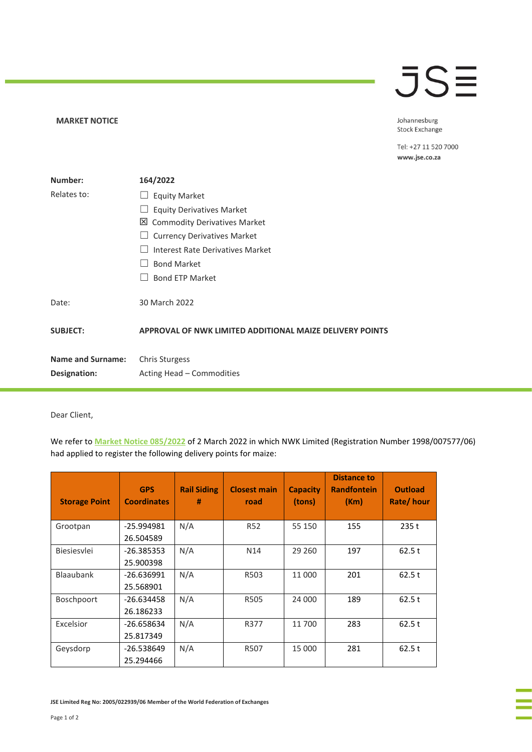## **JSE**

## **MARKET NOTICE**

Johannesburg **Stock Exchange** 

Tel: +27 11 520 7000 www.jse.co.za

| Number:                  | 164/2022                                                 |
|--------------------------|----------------------------------------------------------|
| Relates to:              | <b>Equity Market</b><br>$\Box$                           |
|                          | <b>Equity Derivatives Market</b>                         |
|                          | 凶 Commodity Derivatives Market                           |
|                          | <b>Currency Derivatives Market</b>                       |
|                          | Interest Rate Derivatives Market                         |
|                          | <b>Bond Market</b>                                       |
|                          | <b>Bond ETP Market</b>                                   |
| Date:                    | 30 March 2022                                            |
| <b>SUBJECT:</b>          | APPROVAL OF NWK LIMITED ADDITIONAL MAIZE DELIVERY POINTS |
| <b>Name and Surname:</b> | <b>Chris Sturgess</b>                                    |
| Designation:             | Acting Head - Commodities                                |

Dear Client,

We refer to **[Market Notice 085/2022](https://clientportal.jse.co.za/Content/JSENoticesandCircularsItems/JSE%20Market%20Notice%2008522%20CDM%20-%20Application%20by%20NWK%20Limited%20for%20Additional%20Maize%20Delivery%20Points.pdf)** of 2 March 2022 in which NWK Limited (Registration Number 1998/007577/06) had applied to register the following delivery points for maize:

| <b>Storage Point</b> | <b>GPS</b><br><b>Coordinates</b> | <b>Rail Siding</b><br># | <b>Closest main</b><br>road | <b>Capacity</b><br>(tons) | <b>Distance to</b><br><b>Randfontein</b><br>(Km) | <b>Outload</b><br>Rate/hour |
|----------------------|----------------------------------|-------------------------|-----------------------------|---------------------------|--------------------------------------------------|-----------------------------|
| Grootpan             | -25.994981<br>26.504589          | N/A                     | <b>R52</b>                  | 55 150                    | 155                                              | 235t                        |
| Biesiesvlei          | -26.385353<br>25.900398          | N/A                     | N <sub>14</sub>             | 29 260                    | 197                                              | 62.5t                       |
| <b>Blaaubank</b>     | $-26.636991$<br>25.568901        | N/A                     | R503                        | 11 000                    | 201                                              | 62.5t                       |
| <b>Boschpoort</b>    | -26.634458<br>26.186233          | N/A                     | R505                        | 24 000                    | 189                                              | 62.5t                       |
| Excelsior            | $-26.658634$<br>25.817349        | N/A                     | R377                        | 11 700                    | 283                                              | 62.5t                       |
| Geysdorp             | -26.538649<br>25.294466          | N/A                     | R507                        | 15 000                    | 281                                              | 62.5t                       |